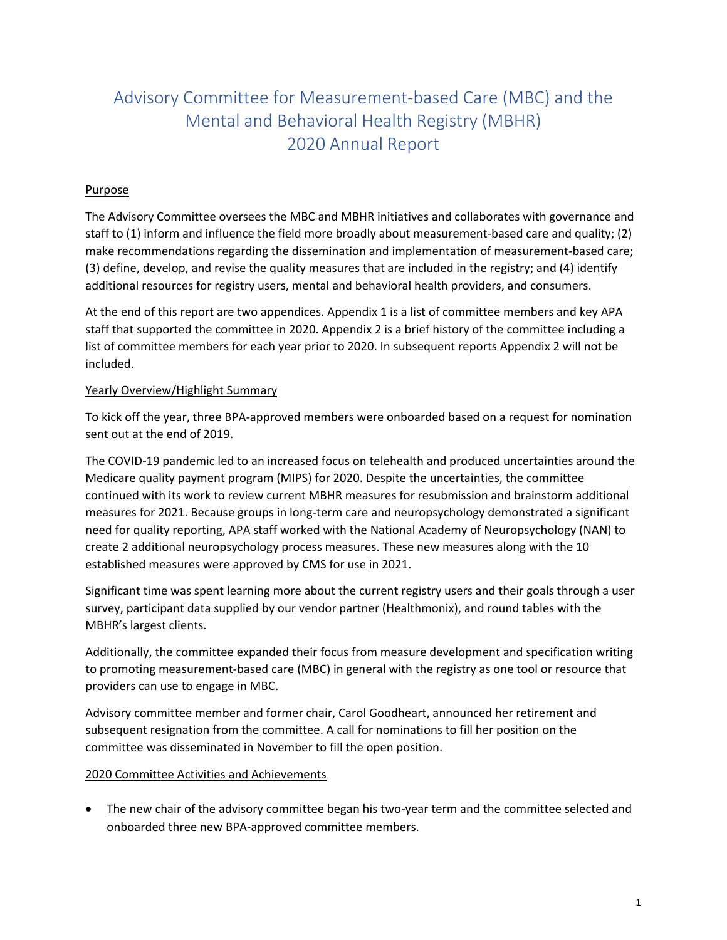# Advisory Committee for Measurement-based Care (MBC) and the Mental and Behavioral Health Registry (MBHR) 2020 Annual Report

# **Purpose**

The Advisory Committee oversees the MBC and MBHR initiatives and collaborates with governance and staff to (1) inform and influence the field more broadly about measurement-based care and quality; (2) make recommendations regarding the dissemination and implementation of measurement-based care; (3) define, develop, and revise the quality measures that are included in the registry; and (4) identify additional resources for registry users, mental and behavioral health providers, and consumers.

At the end of this report are two appendices. Appendix 1 is a list of committee members and key APA staff that supported the committee in 2020. Appendix 2 is a brief history of the committee including a list of committee members for each year prior to 2020. In subsequent reports Appendix 2 will not be included.

# Yearly Overview/Highlight Summary

To kick off the year, three BPA-approved members were onboarded based on a request for nomination sent out at the end of 2019.

The COVID-19 pandemic led to an increased focus on telehealth and produced uncertainties around the Medicare quality payment program (MIPS) for 2020. Despite the uncertainties, the committee continued with its work to review current MBHR measures for resubmission and brainstorm additional measures for 2021. Because groups in long-term care and neuropsychology demonstrated a significant need for quality reporting, APA staff worked with the National Academy of Neuropsychology (NAN) to create 2 additional neuropsychology process measures. These new measures along with the 10 established measures were approved by CMS for use in 2021.

Significant time was spent learning more about the current registry users and their goals through a user survey, participant data supplied by our vendor partner (Healthmonix), and round tables with the MBHR's largest clients.

Additionally, the committee expanded their focus from measure development and specification writing to promoting measurement-based care (MBC) in general with the registry as one tool or resource that providers can use to engage in MBC.

Advisory committee member and former chair, Carol Goodheart, announced her retirement and subsequent resignation from the committee. A call for nominations to fill her position on the committee was disseminated in November to fill the open position.  

# 2020 Committee Activities and Achievements

• The new chair of the advisory committee began his two-year term and the committee selected and onboarded three new BPA-approved committee members.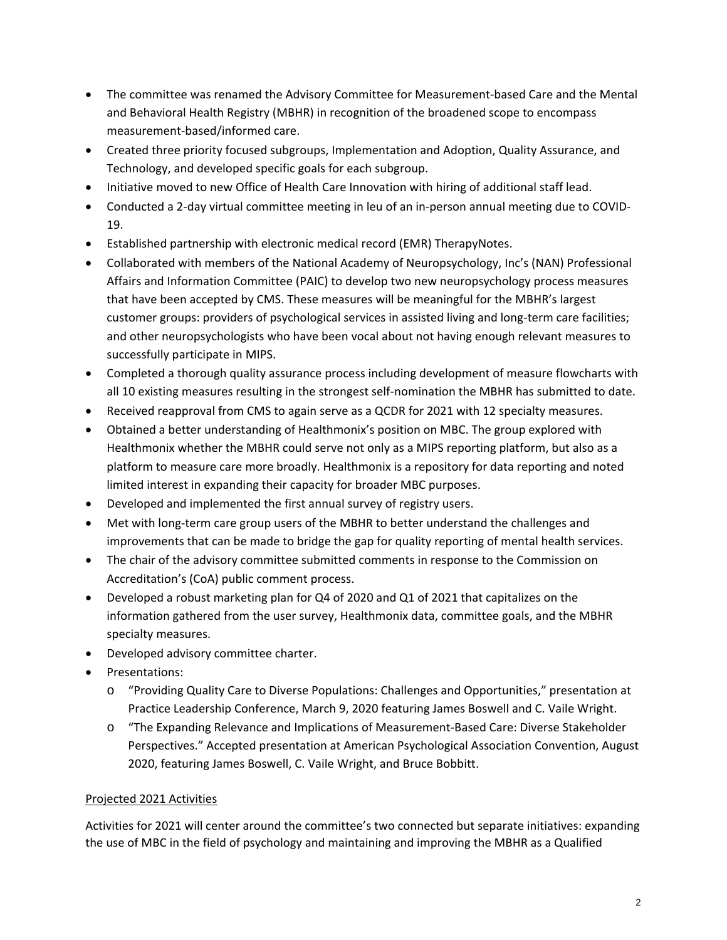- The committee was renamed the Advisory Committee for Measurement-based Care and the Mental and Behavioral Health Registry (MBHR) in recognition of the broadened scope to encompass measurement-based/informed care.
- Created three priority focused subgroups, Implementation and Adoption, Quality Assurance, and Technology, and developed specific goals for each subgroup.
- Initiative moved to new Office of Health Care Innovation with hiring of additional staff lead.
- Conducted a 2-day virtual committee meeting in leu of an in-person annual meeting due to COVID-19.
- Established partnership with electronic medical record (EMR) TherapyNotes.
- Collaborated with members of the National Academy of Neuropsychology, Inc's (NAN) Professional Affairs and Information Committee (PAIC) to develop two new neuropsychology process measures that have been accepted by CMS. These measures will be meaningful for the MBHR's largest customer groups: providers of psychological services in assisted living and long-term care facilities; and other neuropsychologists who have been vocal about not having enough relevant measures to successfully participate in MIPS.
- Completed a thorough quality assurance process including development of measure flowcharts with all 10 existing measures resulting in the strongest self-nomination the MBHR has submitted to date.
- Received reapproval from CMS to again serve as a QCDR for 2021 with 12 specialty measures.
- Obtained a better understanding of Healthmonix's position on MBC. The group explored with Healthmonix whether the MBHR could serve not only as a MIPS reporting platform, but also as a platform to measure care more broadly. Healthmonix is a repository for data reporting and noted limited interest in expanding their capacity for broader MBC purposes.
- Developed and implemented the first annual survey of registry users.
- Met with long-term care group users of the MBHR to better understand the challenges and improvements that can be made to bridge the gap for quality reporting of mental health services.
- The chair of the advisory committee submitted comments in response to the Commission on Accreditation's (CoA) public comment process.
- Developed a robust marketing plan for Q4 of 2020 and Q1 of 2021 that capitalizes on the information gathered from the user survey, Healthmonix data, committee goals, and the MBHR specialty measures.
- Developed advisory committee charter.
- Presentations:
	- o "Providing Quality Care to Diverse Populations: Challenges and Opportunities," presentation at Practice Leadership Conference, March 9, 2020 featuring James Boswell and C. Vaile Wright.
	- o "The Expanding Relevance and Implications of Measurement-Based Care: Diverse Stakeholder Perspectives." Accepted presentation at American Psychological Association Convention, August 2020, featuring James Boswell, C. Vaile Wright, and Bruce Bobbitt.

# Projected 2021 Activities

Activities for 2021 will center around the committee's two connected but separate initiatives: expanding the use of MBC in the field of psychology and maintaining and improving the MBHR as a Qualified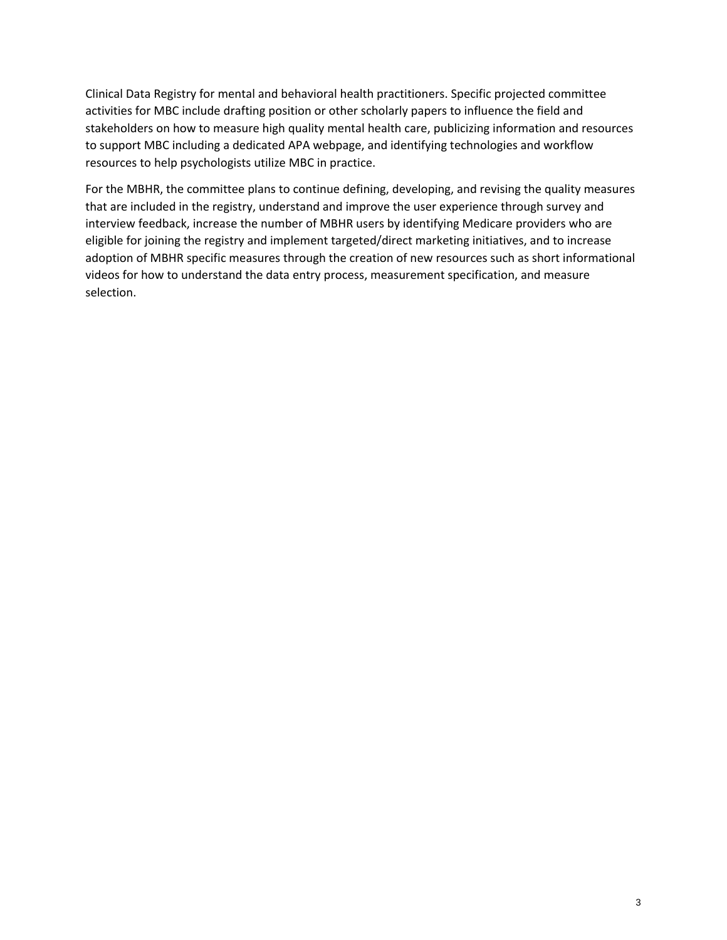Clinical Data Registry for mental and behavioral health practitioners. Specific projected committee activities for MBC include drafting position or other scholarly papers to influence the field and stakeholders on how to measure high quality mental health care, publicizing information and resources to support MBC including a dedicated APA webpage, and identifying technologies and workflow resources to help psychologists utilize MBC in practice.

For the MBHR, the committee plans to continue defining, developing, and revising the quality measures that are included in the registry, understand and improve the user experience through survey and interview feedback, increase the number of MBHR users by identifying Medicare providers who are eligible for joining the registry and implement targeted/direct marketing initiatives, and to increase adoption of MBHR specific measures through the creation of new resources such as short informational videos for how to understand the data entry process, measurement specification, and measure selection.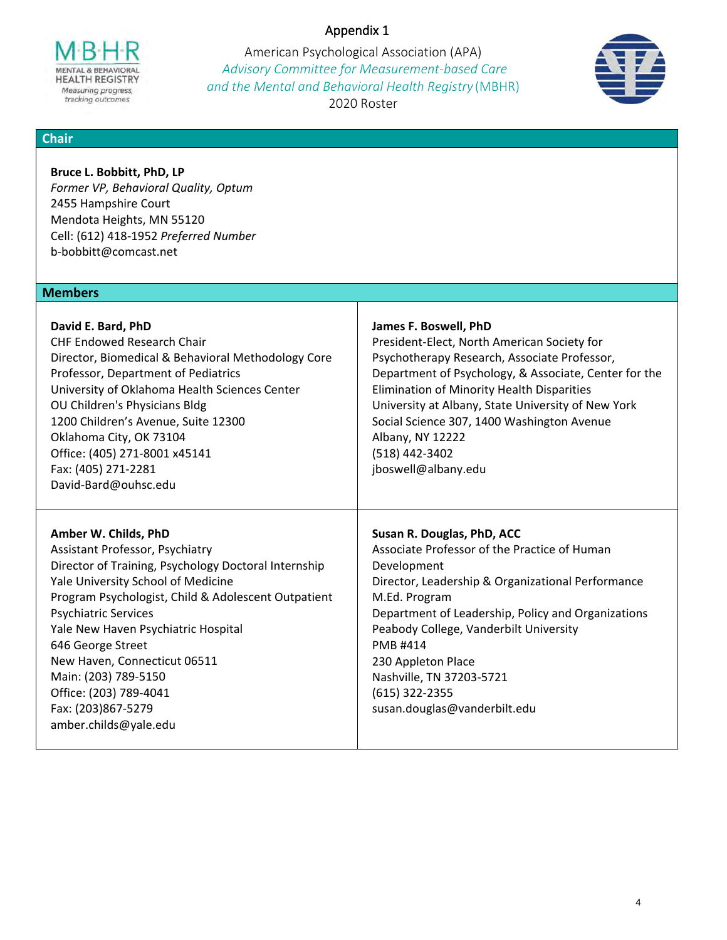# Appendix 1

MENTAL & BEHAVIORAL **HEALTH REGISTRY** Measuring progress, tracking outcomes

American Psychological Association (APA) *Advisory Committee for Measurement‐based Care and the Mental and Behavioral Health Registry* (MBHR) 2020 Roster



### **Chair**

**Bruce L. Bobbitt, PhD, LP**  *Former VP, Behavioral Quality, Optum*  2455 Hampshire Court Mendota Heights, MN 55120 Cell: (612) 418‐1952 *Preferred Number*  b‐bobbitt@comcast.net

### **Members**

| David E. Bard, PhD<br><b>CHF Endowed Research Chair</b><br>Director, Biomedical & Behavioral Methodology Core<br>Professor, Department of Pediatrics<br>University of Oklahoma Health Sciences Center<br>OU Children's Physicians Bldg<br>1200 Children's Avenue, Suite 12300<br>Oklahoma City, OK 73104<br>Office: (405) 271-8001 x45141<br>Fax: (405) 271-2281<br>David-Bard@ouhsc.edu                                                 | James F. Boswell, PhD<br>President-Elect, North American Society for<br>Psychotherapy Research, Associate Professor,<br>Department of Psychology, & Associate, Center for the<br>Elimination of Minority Health Disparities<br>University at Albany, State University of New York<br>Social Science 307, 1400 Washington Avenue<br>Albany, NY 12222<br>(518) 442-3402<br>jboswell@albany.edu |
|------------------------------------------------------------------------------------------------------------------------------------------------------------------------------------------------------------------------------------------------------------------------------------------------------------------------------------------------------------------------------------------------------------------------------------------|----------------------------------------------------------------------------------------------------------------------------------------------------------------------------------------------------------------------------------------------------------------------------------------------------------------------------------------------------------------------------------------------|
| Amber W. Childs, PhD<br>Assistant Professor, Psychiatry<br>Director of Training, Psychology Doctoral Internship<br>Yale University School of Medicine<br>Program Psychologist, Child & Adolescent Outpatient<br><b>Psychiatric Services</b><br>Yale New Haven Psychiatric Hospital<br>646 George Street<br>New Haven, Connecticut 06511<br>Main: (203) 789-5150<br>Office: (203) 789-4041<br>Fax: (203)867-5279<br>amber.childs@yale.edu | Susan R. Douglas, PhD, ACC<br>Associate Professor of the Practice of Human<br>Development<br>Director, Leadership & Organizational Performance<br>M.Ed. Program<br>Department of Leadership, Policy and Organizations<br>Peabody College, Vanderbilt University<br>PMB #414<br>230 Appleton Place<br>Nashville, TN 37203-5721<br>(615) 322-2355<br>susan.douglas@vanderbilt.edu              |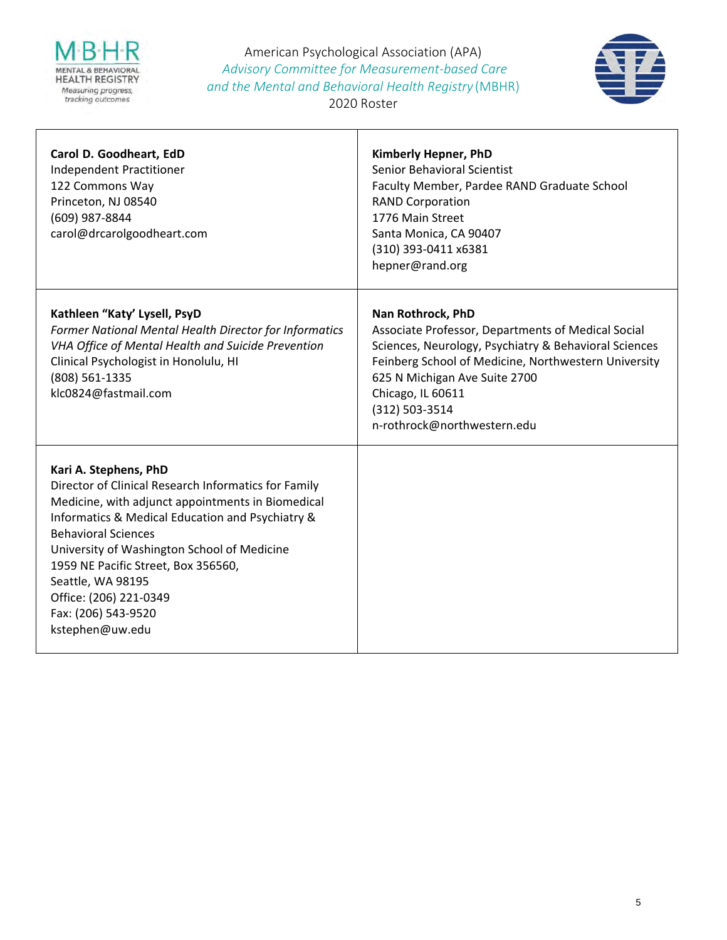

American Psychological Association (APA) *Advisory Committee for Measurement‐based Care and the Mental and Behavioral Health Registry* (MBHR)



2020 Roster

| Carol D. Goodheart, EdD<br>Independent Practitioner<br>122 Commons Way<br>Princeton, NJ 08540<br>(609) 987-8844<br>carol@drcarolgoodheart.com                                                                                                                                                                                                                                                       | Kimberly Hepner, PhD<br>Senior Behavioral Scientist<br>Faculty Member, Pardee RAND Graduate School<br><b>RAND Corporation</b><br>1776 Main Street<br>Santa Monica, CA 90407<br>(310) 393-0411 x6381<br>hepner@rand.org                                                                          |
|-----------------------------------------------------------------------------------------------------------------------------------------------------------------------------------------------------------------------------------------------------------------------------------------------------------------------------------------------------------------------------------------------------|-------------------------------------------------------------------------------------------------------------------------------------------------------------------------------------------------------------------------------------------------------------------------------------------------|
| Kathleen "Katy' Lysell, PsyD<br>Former National Mental Health Director for Informatics<br>VHA Office of Mental Health and Suicide Prevention<br>Clinical Psychologist in Honolulu, HI<br>(808) 561-1335<br>klc0824@fastmail.com                                                                                                                                                                     | Nan Rothrock, PhD<br>Associate Professor, Departments of Medical Social<br>Sciences, Neurology, Psychiatry & Behavioral Sciences<br>Feinberg School of Medicine, Northwestern University<br>625 N Michigan Ave Suite 2700<br>Chicago, IL 60611<br>(312) 503-3514<br>n-rothrock@northwestern.edu |
| Kari A. Stephens, PhD<br>Director of Clinical Research Informatics for Family<br>Medicine, with adjunct appointments in Biomedical<br>Informatics & Medical Education and Psychiatry &<br><b>Behavioral Sciences</b><br>University of Washington School of Medicine<br>1959 NE Pacific Street, Box 356560,<br>Seattle, WA 98195<br>Office: (206) 221-0349<br>Fax: (206) 543-9520<br>kstephen@uw.edu |                                                                                                                                                                                                                                                                                                 |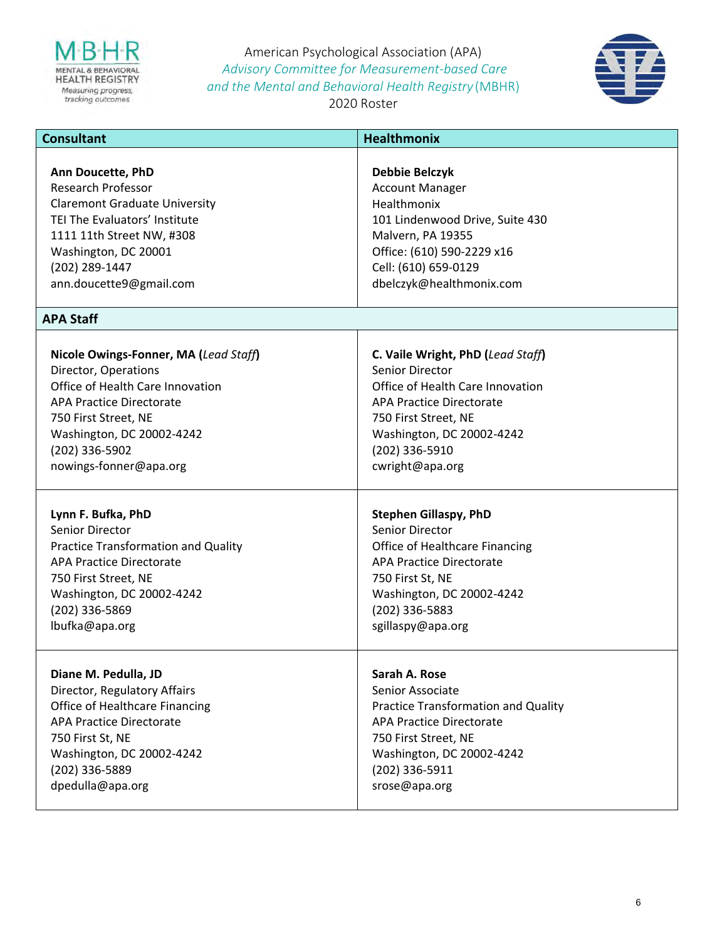

American Psychological Association (APA) *Advisory Committee for Measurement‐based Care and the Mental and Behavioral Health Registry* (MBHR) 2020 Roster



| <b>Consultant</b>                          | <b>Healthmonix</b>                         |
|--------------------------------------------|--------------------------------------------|
| Ann Doucette, PhD                          | Debbie Belczyk                             |
| <b>Research Professor</b>                  | <b>Account Manager</b>                     |
| <b>Claremont Graduate University</b>       | Healthmonix                                |
| TEI The Evaluators' Institute              | 101 Lindenwood Drive, Suite 430            |
| 1111 11th Street NW, #308                  | Malvern, PA 19355                          |
| Washington, DC 20001                       | Office: (610) 590-2229 x16                 |
| (202) 289-1447                             | Cell: (610) 659-0129                       |
| ann.doucette9@gmail.com                    | dbelczyk@healthmonix.com                   |
| <b>APA Staff</b>                           |                                            |
| Nicole Owings-Fonner, MA (Lead Staff)      | C. Vaile Wright, PhD (Lead Staff)          |
| Director, Operations                       | <b>Senior Director</b>                     |
| Office of Health Care Innovation           | Office of Health Care Innovation           |
| <b>APA Practice Directorate</b>            | <b>APA Practice Directorate</b>            |
| 750 First Street, NE                       | 750 First Street, NE                       |
| Washington, DC 20002-4242                  | Washington, DC 20002-4242                  |
| (202) 336-5902                             | (202) 336-5910                             |
| nowings-fonner@apa.org                     | cwright@apa.org                            |
| Lynn F. Bufka, PhD                         | <b>Stephen Gillaspy, PhD</b>               |
| Senior Director                            | Senior Director                            |
| <b>Practice Transformation and Quality</b> | Office of Healthcare Financing             |
| <b>APA Practice Directorate</b>            | <b>APA Practice Directorate</b>            |
| 750 First Street, NE                       | 750 First St, NE                           |
| Washington, DC 20002-4242                  | Washington, DC 20002-4242                  |
| (202) 336-5869                             | (202) 336-5883                             |
| lbufka@apa.org                             | sgillaspy@apa.org                          |
| Diane M. Pedulla, JD                       | Sarah A. Rose                              |
| Director, Regulatory Affairs               | Senior Associate                           |
| Office of Healthcare Financing             | <b>Practice Transformation and Quality</b> |
| <b>APA Practice Directorate</b>            | <b>APA Practice Directorate</b>            |
| 750 First St, NE                           | 750 First Street, NE                       |
| Washington, DC 20002-4242                  | Washington, DC 20002-4242                  |
| (202) 336-5889                             | (202) 336-5911                             |
| dpedulla@apa.org                           | srose@apa.org                              |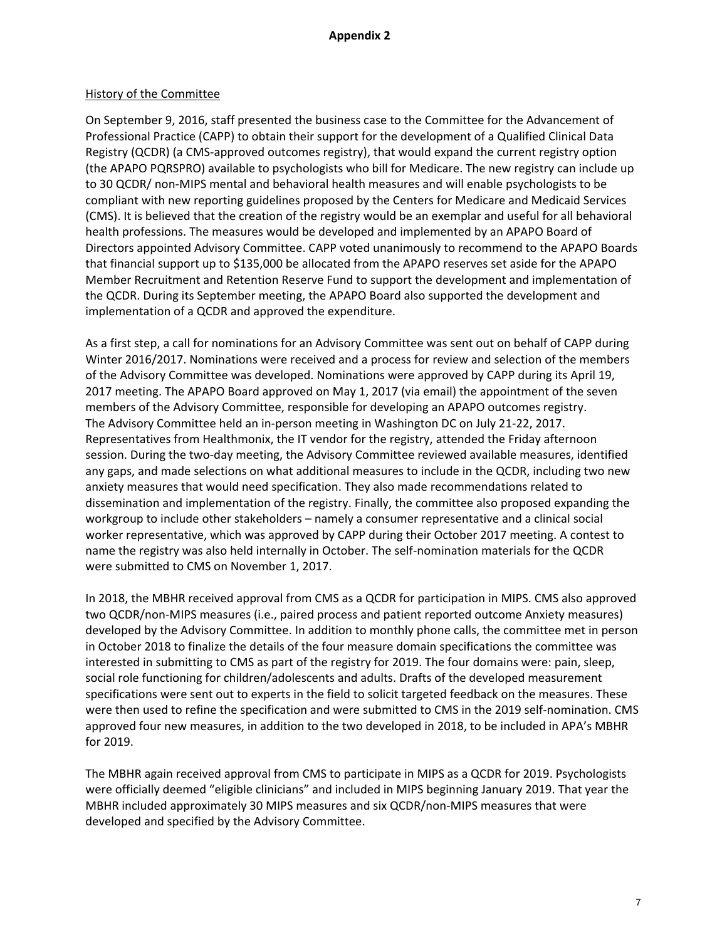### **Appendix 2**

#### History of the Committee

On September 9, 2016, staff presented the business case to the Committee for the Advancement of Professional Practice (CAPP) to obtain their support for the development of a Qualified Clinical Data Registry (QCDR) (a CMS-approved outcomes registry), that would expand the current registry option (the APAPO PQRSPRO) available to psychologists who bill for Medicare. The new registry can include up to 30 QCDR/ non-MIPS mental and behavioral health measures and will enable psychologists to be compliant with new reporting guidelines proposed by the Centers for Medicare and Medicaid Services (CMS). It is believed that the creation of the registry would be an exemplar and useful for all behavioral health professions. The measures would be developed and implemented by an APAPO Board of Directors appointed Advisory Committee. CAPP voted unanimously to recommend to the APAPO Boards that financial support up to \$135,000 be allocated from the APAPO reserves set aside for the APAPO Member Recruitment and Retention Reserve Fund to support the development and implementation of the QCDR. During its September meeting, the APAPO Board also supported the development and implementation of a QCDR and approved the expenditure.

As a first step, a call for nominations for an Advisory Committee was sent out on behalf of CAPP during Winter 2016/2017. Nominations were received and a process for review and selection of the members of the Advisory Committee was developed. Nominations were approved by CAPP during its April 19, 2017 meeting. The APAPO Board approved on May 1, 2017 (via email) the appointment of the seven members of the Advisory Committee, responsible for developing an APAPO outcomes registry. The Advisory Committee held an in-person meeting in Washington DC on July 21-22, 2017. Representatives from Healthmonix, the IT vendor for the registry, attended the Friday afternoon session. During the two-day meeting, the Advisory Committee reviewed available measures, identified any gaps, and made selections on what additional measures to include in the QCDR, including two new anxiety measures that would need specification. They also made recommendations related to dissemination and implementation of the registry. Finally, the committee also proposed expanding the workgroup to include other stakeholders – namely a consumer representative and a clinical social worker representative, which was approved by CAPP during their October 2017 meeting. A contest to name the registry was also held internally in October. The self-nomination materials for the QCDR were submitted to CMS on November 1, 2017.

In 2018, the MBHR received approval from CMS as a QCDR for participation in MIPS. CMS also approved two QCDR/non-MIPS measures (i.e., paired process and patient reported outcome Anxiety measures) developed by the Advisory Committee. In addition to monthly phone calls, the committee met in person in October 2018 to finalize the details of the four measure domain specifications the committee was interested in submitting to CMS as part of the registry for 2019. The four domains were: pain, sleep, social role functioning for children/adolescents and adults. Drafts of the developed measurement specifications were sent out to experts in the field to solicit targeted feedback on the measures. These were then used to refine the specification and were submitted to CMS in the 2019 self-nomination. CMS approved four new measures, in addition to the two developed in 2018, to be included in APA's MBHR for 2019.

The MBHR again received approval from CMS to participate in MIPS as a QCDR for 2019. Psychologists were officially deemed "eligible clinicians" and included in MIPS beginning January 2019. That year the MBHR included approximately 30 MIPS measures and six QCDR/non-MIPS measures that were developed and specified by the Advisory Committee.